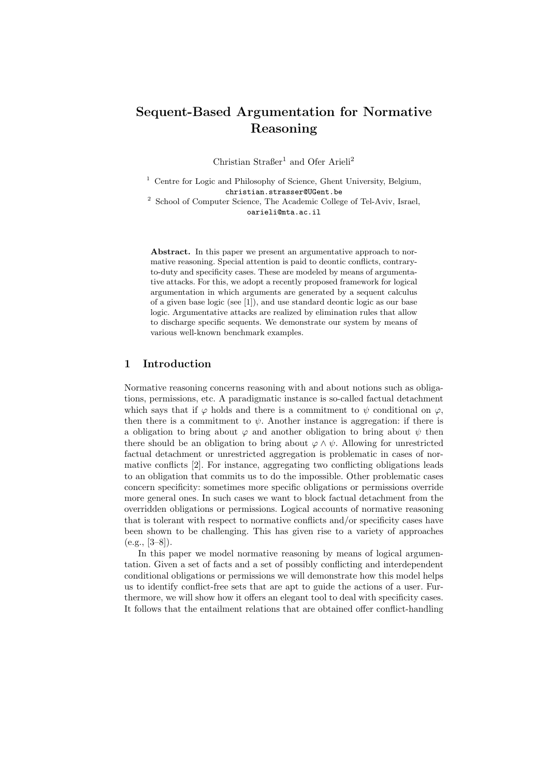# Sequent-Based Argumentation for Normative Reasoning

Christian Straßer<sup>1</sup> and Ofer Arieli<sup>2</sup>

 $1$  Centre for Logic and Philosophy of Science, Ghent University, Belgium, christian.strasser@UGent.be

<sup>2</sup> School of Computer Science, The Academic College of Tel-Aviv, Israel, oarieli@mta.ac.il

Abstract. In this paper we present an argumentative approach to normative reasoning. Special attention is paid to deontic conflicts, contraryto-duty and specificity cases. These are modeled by means of argumentative attacks. For this, we adopt a recently proposed framework for logical argumentation in which arguments are generated by a sequent calculus of a given base logic (see [1]), and use standard deontic logic as our base logic. Argumentative attacks are realized by elimination rules that allow to discharge specific sequents. We demonstrate our system by means of various well-known benchmark examples.

## 1 Introduction

Normative reasoning concerns reasoning with and about notions such as obligations, permissions, etc. A paradigmatic instance is so-called factual detachment which says that if  $\varphi$  holds and there is a commitment to  $\psi$  conditional on  $\varphi$ , then there is a commitment to  $\psi$ . Another instance is aggregation: if there is a obligation to bring about  $\varphi$  and another obligation to bring about  $\psi$  then there should be an obligation to bring about  $\varphi \wedge \psi$ . Allowing for unrestricted factual detachment or unrestricted aggregation is problematic in cases of normative conflicts [2]. For instance, aggregating two conflicting obligations leads to an obligation that commits us to do the impossible. Other problematic cases concern specificity: sometimes more specific obligations or permissions override more general ones. In such cases we want to block factual detachment from the overridden obligations or permissions. Logical accounts of normative reasoning that is tolerant with respect to normative conflicts and/or specificity cases have been shown to be challenging. This has given rise to a variety of approaches (e.g., [3–8]).

In this paper we model normative reasoning by means of logical argumentation. Given a set of facts and a set of possibly conflicting and interdependent conditional obligations or permissions we will demonstrate how this model helps us to identify conflict-free sets that are apt to guide the actions of a user. Furthermore, we will show how it offers an elegant tool to deal with specificity cases. It follows that the entailment relations that are obtained offer conflict-handling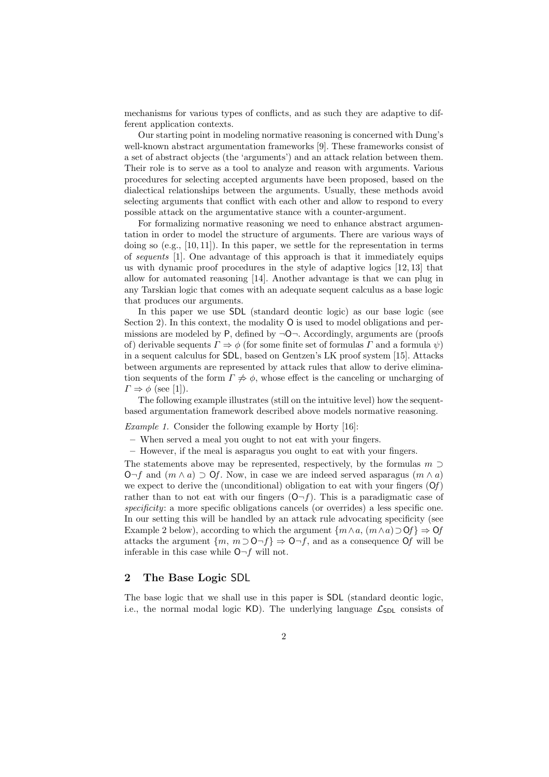mechanisms for various types of conflicts, and as such they are adaptive to different application contexts.

Our starting point in modeling normative reasoning is concerned with Dung's well-known abstract argumentation frameworks [9]. These frameworks consist of a set of abstract objects (the 'arguments') and an attack relation between them. Their role is to serve as a tool to analyze and reason with arguments. Various procedures for selecting accepted arguments have been proposed, based on the dialectical relationships between the arguments. Usually, these methods avoid selecting arguments that conflict with each other and allow to respond to every possible attack on the argumentative stance with a counter-argument.

For formalizing normative reasoning we need to enhance abstract argumentation in order to model the structure of arguments. There are various ways of doing so  $(e.g., [10, 11])$ . In this paper, we settle for the representation in terms of sequents [1]. One advantage of this approach is that it immediately equips us with dynamic proof procedures in the style of adaptive logics [12, 13] that allow for automated reasoning [14]. Another advantage is that we can plug in any Tarskian logic that comes with an adequate sequent calculus as a base logic that produces our arguments.

In this paper we use SDL (standard deontic logic) as our base logic (see Section 2). In this context, the modality O is used to model obligations and permissions are modeled by  $P$ , defined by  $\neg$ O $\neg$ . Accordingly, arguments are (proofs of) derivable sequents  $\Gamma \Rightarrow \phi$  (for some finite set of formulas  $\Gamma$  and a formula  $\psi$ ) in a sequent calculus for SDL, based on Gentzen's LK proof system [15]. Attacks between arguments are represented by attack rules that allow to derive elimination sequents of the form  $\Gamma \not\Rightarrow \phi$ , whose effect is the canceling or uncharging of  $\Gamma \Rightarrow \phi$  (see [1]).

The following example illustrates (still on the intuitive level) how the sequentbased argumentation framework described above models normative reasoning.

Example 1. Consider the following example by Horty [16]:

– When served a meal you ought to not eat with your fingers.

– However, if the meal is asparagus you ought to eat with your fingers.

The statements above may be represented, respectively, by the formulas  $m \supset$ O¬f and  $(m \wedge a)$  ⊃ Of. Now, in case we are indeed served asparagus  $(m \wedge a)$ we expect to derive the (unconditional) obligation to eat with your fingers  $(\mathbf{O}f)$ rather than to not eat with our fingers  $(O-f)$ . This is a paradigmatic case of specificity: a more specific obligations cancels (or overrides) a less specific one. In our setting this will be handled by an attack rule advocating specificity (see Example 2 below), according to which the argument  $\{m \wedge a, (m \wedge a) \supset Of\} \Rightarrow Of$ attacks the argument  $\{m, m \supset O \neg f\} \Rightarrow O \neg f$ , and as a consequence Of will be inferable in this case while  $O\neg f$  will not.

## 2 The Base Logic SDL

The base logic that we shall use in this paper is SDL (standard deontic logic, i.e., the normal modal logic KD). The underlying language  $\mathcal{L}_{SDL}$  consists of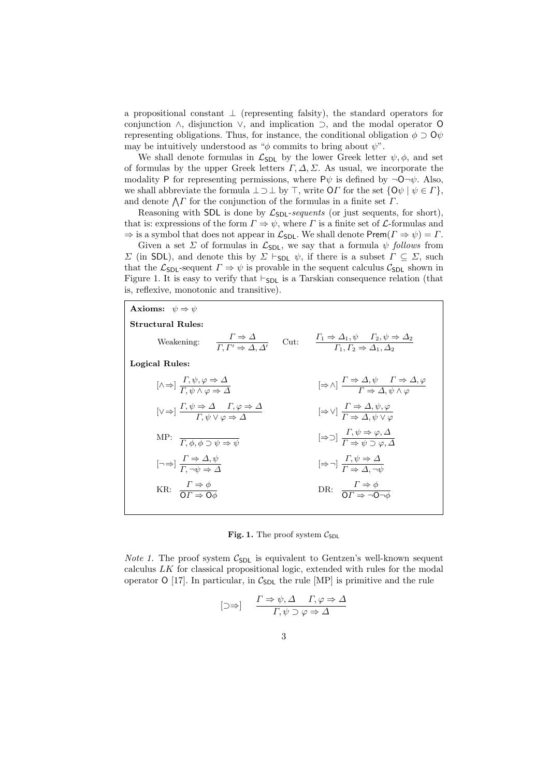a propositional constant  $\perp$  (representing falsity), the standard operators for conjunction ∧, disjunction ∨, and implication ⊃, and the modal operator O representing obligations. Thus, for instance, the conditional obligation  $\phi \supset Q\psi$ may be intuitively understood as " $\phi$  commits to bring about  $\psi$ ".

We shall denote formulas in  $\mathcal{L}_{SDL}$  by the lower Greek letter  $\psi, \phi$ , and set of formulas by the upper Greek letters  $\Gamma$ ,  $\Delta$ ,  $\Sigma$ . As usual, we incorporate the modality P for representing permissions, where  $P\psi$  is defined by  $\neg \mathsf{O}\neg \psi$ . Also, we shall abbreviate the formula  $\perp \supset \perp$  by  $\top$ , write OΓ for the set  $\{O\psi \mid \psi \in \Gamma\}$ , and denote  $\bigwedge \Gamma$  for the conjunction of the formulas in a finite set  $\Gamma$ .

Reasoning with SDL is done by  $\mathcal{L}_{SDL-sequences}$  (or just sequents, for short), that is: expressions of the form  $\Gamma \Rightarrow \psi$ , where  $\Gamma$  is a finite set of *L*-formulas and  $\Rightarrow$  is a symbol that does not appear in  $\mathcal{L}_{SDL}$ . We shall denote Prem $(\Gamma \Rightarrow \psi) = \Gamma$ .

Given a set  $\Sigma$  of formulas in  $\mathcal{L}_{SDL}$ , we say that a formula  $\psi$  follows from  $Σ$  (in SDL), and denote this by  $Σ$   $\vdash$  sp<sub>L</sub>  $ψ$ , if there is a subset  $Γ ⊆ Σ$ , such that the  $\mathcal{L}_{SDL}$ -sequent  $\Gamma \Rightarrow \psi$  is provable in the sequent calculus  $\mathcal{C}_{SDL}$  shown in Figure 1. It is easy to verify that  $\vdash_{SDL}$  is a Tarskian consequence relation (that is, reflexive, monotonic and transitive).

| Axioms: $\psi \Rightarrow \psi$                                                                                                                         |      |                                                                                                                                           |
|---------------------------------------------------------------------------------------------------------------------------------------------------------|------|-------------------------------------------------------------------------------------------------------------------------------------------|
| <b>Structural Rules:</b>                                                                                                                                |      |                                                                                                                                           |
| $\frac{I \Rightarrow \Delta}{\Gamma \Gamma' \Rightarrow \Delta \Delta'}$<br>Weakening:                                                                  | Cut: | $\frac{\Gamma_1 \Rightarrow \Delta_1, \psi \quad \Gamma_2, \psi \Rightarrow \Delta_2}{\Gamma_1, \Gamma_2 \Rightarrow \Delta_1, \Delta_2}$ |
| Logical Rules:                                                                                                                                          |      |                                                                                                                                           |
| $[\wedge \Rightarrow] \frac{1, \psi, \varphi \Rightarrow \Delta}{\Gamma, \psi \wedge \varphi \Rightarrow \Delta}$                                       |      | $\left[\Rightarrow \wedge\right] \xrightarrow{\Gamma \Rightarrow \Delta, \psi} \xrightarrow{\Gamma \Rightarrow \Delta, \varphi}$          |
| $[\vee \Rightarrow] \frac{\Gamma, \psi \Rightarrow \Delta \quad \Gamma, \varphi \Rightarrow \Delta}{\Gamma \quad \psi \lor \varphi \Rightarrow \Delta}$ |      | $[\Rightarrow \vee]$ $\frac{I \Rightarrow \Delta, \psi, \varphi}{\Gamma \Rightarrow \Delta, \psi, \vee, \varphi}$                         |
| MP: $\overline{\Gamma, \phi, \phi \supset \psi \Rightarrow \psi}$                                                                                       |      | $[\Rightarrow \supset]$ $\frac{1, \psi \Rightarrow \varphi, \Delta}{\Gamma \Rightarrow \psi \Rightarrow \varphi, \Delta}$                 |
| $[\neg \Rightarrow] \frac{I \Rightarrow \Delta, \psi}{\Gamma, \neg \psi \Rightarrow \Delta}$                                                            |      | $[\Rightarrow \neg] \frac{I, \psi \Rightarrow \Delta}{\Gamma \Rightarrow \Delta \neg \psi}$                                               |
| KR: $\frac{\Gamma \Rightarrow \phi}{\Omega \Gamma \Rightarrow \Omega^{\perp}}$                                                                          |      | DR: $\frac{I \Rightarrow \phi}{\Omega I \rightarrow -\Omega A}$                                                                           |
|                                                                                                                                                         |      |                                                                                                                                           |

Fig. 1. The proof system  $C_{SDL}$ 

*Note 1.* The proof system  $C_{SDL}$  is equivalent to Gentzen's well-known sequent calculus LK for classical propositional logic, extended with rules for the modal operator O [17]. In particular, in  $C_{SDL}$  the rule [MP] is primitive and the rule

$$
[\supset \Rightarrow] \quad \frac{\Gamma \Rightarrow \psi, \Delta \quad \Gamma, \varphi \Rightarrow \Delta}{\Gamma, \psi \supset \varphi \Rightarrow \Delta}
$$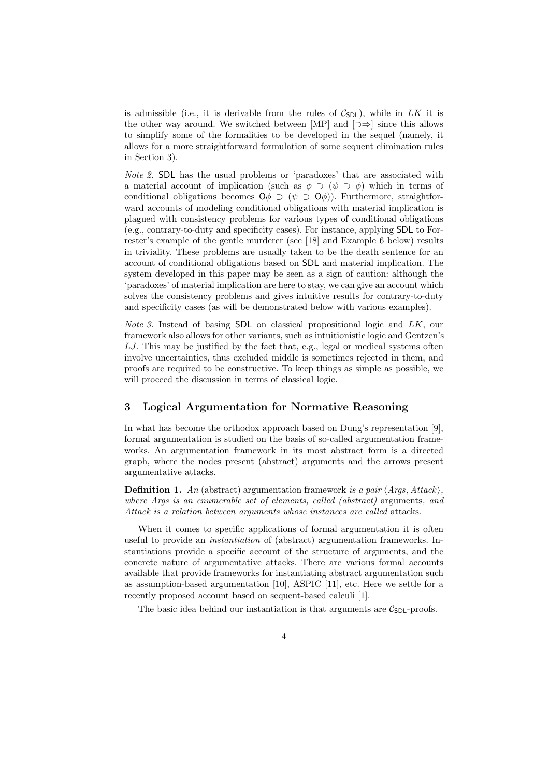is admissible (i.e., it is derivable from the rules of  $C_{SDL}$ ), while in LK it is the other way around. We switched between [MP] and  $[\supset \Rightarrow]$  since this allows to simplify some of the formalities to be developed in the sequel (namely, it allows for a more straightforward formulation of some sequent elimination rules in Section 3).

Note 2. SDL has the usual problems or 'paradoxes' that are associated with a material account of implication (such as  $\phi \supset (\psi \supset \phi)$ ) which in terms of conditional obligations becomes  $\mathsf{O}\phi \supset (\psi \supset \mathsf{O}\phi)$ . Furthermore, straightforward accounts of modeling conditional obligations with material implication is plagued with consistency problems for various types of conditional obligations (e.g., contrary-to-duty and specificity cases). For instance, applying SDL to Forrester's example of the gentle murderer (see [18] and Example 6 below) results in triviality. These problems are usually taken to be the death sentence for an account of conditional obligations based on SDL and material implication. The system developed in this paper may be seen as a sign of caution: although the 'paradoxes' of material implication are here to stay, we can give an account which solves the consistency problems and gives intuitive results for contrary-to-duty and specificity cases (as will be demonstrated below with various examples).

Note 3. Instead of basing SDL on classical propositional logic and LK, our framework also allows for other variants, such as intuitionistic logic and Gentzen's  $LJ$ . This may be justified by the fact that, e.g., legal or medical systems often involve uncertainties, thus excluded middle is sometimes rejected in them, and proofs are required to be constructive. To keep things as simple as possible, we will proceed the discussion in terms of classical logic.

## 3 Logical Argumentation for Normative Reasoning

In what has become the orthodox approach based on Dung's representation [9], formal argumentation is studied on the basis of so-called argumentation frameworks. An argumentation framework in its most abstract form is a directed graph, where the nodes present (abstract) arguments and the arrows present argumentative attacks.

**Definition 1.** An (abstract) argumentation framework is a pair  $\langle Args, Attack\rangle$ , where Args is an enumerable set of elements, called (abstract) arguments, and Attack is a relation between arguments whose instances are called attacks.

When it comes to specific applications of formal argumentation it is often useful to provide an instantiation of (abstract) argumentation frameworks. Instantiations provide a specific account of the structure of arguments, and the concrete nature of argumentative attacks. There are various formal accounts available that provide frameworks for instantiating abstract argumentation such as assumption-based argumentation [10], ASPIC [11], etc. Here we settle for a recently proposed account based on sequent-based calculi [1].

The basic idea behind our instantiation is that arguments are  $C_{SDI}$ -proofs.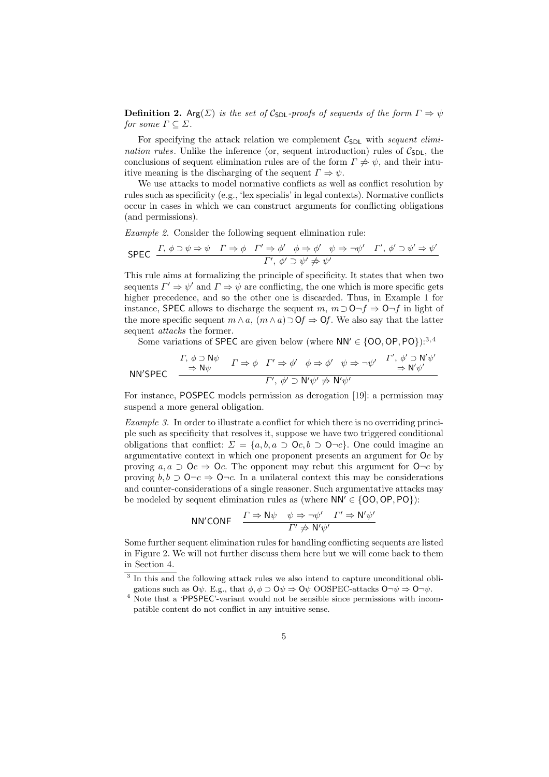**Definition 2.** Arg( $\Sigma$ ) is the set of C<sub>SDL</sub>-proofs of sequents of the form  $\Gamma \Rightarrow \psi$ for some  $\Gamma \subseteq \Sigma$ .

For specifying the attack relation we complement  $\mathcal{C}_{SDL}$  with sequent elimination rules. Unlike the inference (or, sequent introduction) rules of  $C_{SDL}$ , the conclusions of sequent elimination rules are of the form  $\Gamma \neq \psi$ , and their intuitive meaning is the discharging of the sequent  $\Gamma \Rightarrow \psi$ .

We use attacks to model normative conflicts as well as conflict resolution by rules such as specificity (e.g., 'lex specialis' in legal contexts). Normative conflicts occur in cases in which we can construct arguments for conflicting obligations (and permissions).

Example 2. Consider the following sequent elimination rule:

$$
\text{SPEC} \quad \frac{\Gamma, \ \phi \supset \psi \Rightarrow \psi \quad \Gamma \Rightarrow \phi \quad \Gamma' \Rightarrow \phi' \quad \phi \Rightarrow \phi' \quad \psi \Rightarrow \neg \psi' \quad \Gamma', \ \phi' \supset \psi' \Rightarrow \psi'}{\Gamma', \ \phi' \supset \psi' \neq \psi'}
$$

This rule aims at formalizing the principle of specificity. It states that when two sequents  $\Gamma' \Rightarrow \psi'$  and  $\Gamma \Rightarrow \psi$  are conflicting, the one which is more specific gets higher precedence, and so the other one is discarded. Thus, in Example 1 for instance, SPEC allows to discharge the sequent  $m, m \supset 0 \neg f \Rightarrow 0 \neg f$  in light of the more specific sequent  $m \wedge a$ ,  $(m \wedge a) \supset \mathsf{O}f \Rightarrow \mathsf{O}f$ . We also say that the latter sequent *attacks* the former.

Some variations of SPEC are given below (where  $NN' \in \{00, OP, PO\}$ ):<sup>3,4</sup>

$$
NN'SPEC \quad \xrightarrow{\Gamma, \phi \supset N\psi} \quad \Gamma \Rightarrow \phi \quad \Gamma' \Rightarrow \phi' \quad \phi \Rightarrow \phi' \quad \psi \Rightarrow \neg \psi' \quad \xrightarrow{\Gamma', \phi' \supset N'\psi'} \Rightarrow N'\psi' \Rightarrow \neg \psi \quad \xrightarrow{\Gamma', \phi' \supset N'\psi'}
$$

For instance, POSPEC models permission as derogation [19]: a permission may suspend a more general obligation.

Example 3. In order to illustrate a conflict for which there is no overriding principle such as specificity that resolves it, suppose we have two triggered conditional obligations that conflict:  $\Sigma = \{a, b, a \supset 0 \subset c, b \supset 0 \subset c\}$ . One could imagine an argumentative context in which one proponent presents an argument for Oc by proving  $a, a \supset 0$ c  $\Rightarrow 0$ c. The opponent may rebut this argument for  $0\neg c$  by proving  $b, b \supset \mathsf{O}\neg c \Rightarrow \mathsf{O}\neg c$ . In a unilateral context this may be considerations and counter-considerations of a single reasoner. Such argumentative attacks may be modeled by sequent elimination rules as (where  $NN' \in \{OO, OP, PO\}$ ):

$$
NN'CONF \quad \frac{\Gamma \Rightarrow N\psi \quad \psi \Rightarrow \neg \psi' \quad \Gamma' \Rightarrow N'\psi'}{\Gamma' \not\Rightarrow N'\psi'}
$$

Some further sequent elimination rules for handling conflicting sequents are listed in Figure 2. We will not further discuss them here but we will come back to them in Section 4.

<sup>&</sup>lt;sup>3</sup> In this and the following attack rules we also intend to capture unconditional obligations such as  $\mathsf{O}\psi$ . E.g., that  $\phi, \phi \supset \mathsf{O}\psi \Rightarrow \mathsf{O}\psi$  OOSPEC-attacks  $\mathsf{O}\neg\psi \Rightarrow \mathsf{O}\neg\psi$ .

<sup>4</sup> Note that a 'PPSPEC'-variant would not be sensible since permissions with incompatible content do not conflict in any intuitive sense.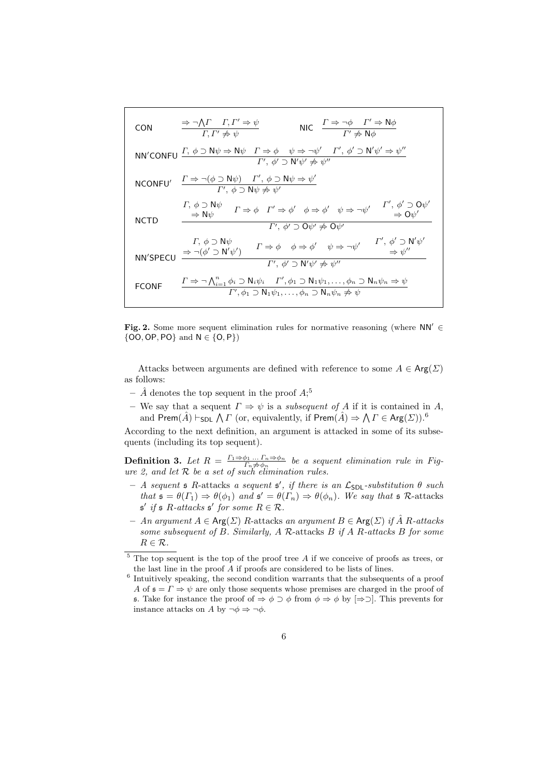CON

\n
$$
\frac{\Rightarrow \neg \bigwedge F \quad \Gamma, \Gamma' \Rightarrow \psi}{\Gamma, \Gamma' \neq \psi} \qquad \text{NIC}
$$
\n
$$
\frac{\Gamma \Rightarrow \neg \phi \quad \Gamma' \Rightarrow \mathsf{N}\phi}{\Gamma' \neq \mathsf{N}\phi}
$$
\nNN'CONFU

\n
$$
\frac{\Gamma, \phi \supset \mathsf{N}\psi \Rightarrow \mathsf{N}\psi \quad \Gamma \Rightarrow \phi \quad \psi \Rightarrow \neg \psi' \quad \Gamma', \phi' \supset \mathsf{N}'\psi' \Rightarrow \psi''}{\Gamma', \phi' \supset \mathsf{N}'\psi' \neq \psi''}
$$
\nNCONFU'

\n
$$
\frac{\Gamma \Rightarrow \neg (\phi \supset \mathsf{N}\psi) \quad \Gamma', \phi \supset \mathsf{N}\psi \Rightarrow \psi'}{\Gamma', \phi \supset \mathsf{N}\psi \neq \psi'}
$$
\n
$$
\frac{\Gamma, \phi \supset \mathsf{N}\psi}{\Rightarrow \mathsf{N}\psi} \quad \Gamma \Rightarrow \phi \quad \Gamma' \Rightarrow \phi' \quad \phi \Rightarrow \phi' \quad \psi \Rightarrow \neg \psi' \quad \Gamma', \phi' \supset \mathsf{O}\psi' \Rightarrow \mathsf{O}\psi''}{\Rightarrow \mathsf{O}\psi' \Rightarrow \mathsf{N}\psi'}
$$
\nNOTD

\n
$$
\frac{\Gamma, \phi \supset \mathsf{N}\psi}{\Rightarrow \mathsf{N}\psi} \quad \Gamma \Rightarrow \phi \quad \Gamma' \Rightarrow \phi' \quad \phi \Rightarrow \phi' \quad \psi \Rightarrow \neg \psi' \quad \Gamma', \phi' \supset \mathsf{N}'\psi' \Rightarrow \mathsf{N}\psi''}{\Rightarrow \mathsf{N}\psi''}
$$
\n
$$
\frac{\Gamma, \phi \supset \mathsf{N}\psi}{\Rightarrow \neg (\phi' \supset \mathsf{N}'\psi')} \quad \Gamma \Rightarrow \phi \quad \phi \Rightarrow \phi' \quad \psi \Rightarrow \neg \psi' \quad \Gamma', \phi' \supset \mathsf{N}'\psi''}{\Rightarrow \psi''}
$$
\nFCONF

\n
$$
\frac{\Gamma \Rightarrow \neg \bigwedge_{i=1}^{n} \phi_i \supset \mathsf{N}_i \psi_i \quad \Gamma', \phi_1 \supset \mathsf{N}_1 \psi_1, \dots, \phi_n \supset \mathsf{N}_n \psi_n \Rightarrow \psi}{\Gamma', \phi_1 \supset \mathsf{N
$$

Fig. 2. Some more sequent elimination rules for normative reasoning (where NN′ ∈  $\{OO, OP, PO\}$  and  $N \in \{O, P\}$ )

Attacks between arguments are defined with reference to some  $A \in \text{Arg}(\Sigma)$ as follows:

- $\hat{A}$  denotes the top sequent in the proof  $A;^5$
- We say that a sequent  $\Gamma \Rightarrow \psi$  is a *subsequent of A* if it is contained in A, and Prem $(\hat{A})\vdash_{\textsf{SDL}}\bigwedge\varGamma$  (or, equivalently, if  $\mathsf{Prem}(\hat{A})\Rightarrow\bigwedge\varGamma\in\mathsf{Arg}(\varSigma)).^6$

According to the next definition, an argument is attacked in some of its subsequents (including its top sequent).

**Definition 3.** Let  $R = \frac{\Gamma_1 \Rightarrow \phi_1 \dots \Gamma_n \Rightarrow \phi_n}{\Gamma_n \neq \phi_n}$  be a sequent elimination rule in Figure 2, and let  $R$  be a set of such elimination rules.

- $-$  A sequent  $\mathfrak s$  R-attacks a sequent  $\mathfrak s'$ , if there is an  $\mathcal L_{\mathsf{SDL}}$ -substitution  $\theta$  such that  $\mathfrak{s} = \theta(\Gamma_1) \Rightarrow \theta(\phi_1)$  and  $\mathfrak{s}' = \theta(\Gamma_n) \Rightarrow \theta(\phi_n)$ . We say that  $\mathfrak{s}$  R-attacks  $\mathfrak{s}'$  if  $\mathfrak{s}$  R-attacks  $\mathfrak{s}'$  for some  $R \in \mathcal{R}$ .
- $An argument A ∈ Arg(Σ) R-attacks an argument B ∈ Arg(Σ) if Å R-attacks$ some subsequent of B. Similarly,  $A \mathcal{R}$ -attacks  $B \text{ if } A \text{ } R$ -attacks  $B \text{ for some }$  $R \in \mathcal{R}$ .

 $5$  The top sequent is the top of the proof tree A if we conceive of proofs as trees, or the last line in the proof A if proofs are considered to be lists of lines.

<sup>&</sup>lt;sup>6</sup> Intuitively speaking, the second condition warrants that the subsequents of a proof A of  $\mathfrak{s} = \Gamma \Rightarrow \psi$  are only those sequents whose premises are charged in the proof of s. Take for instance the proof of  $\Rightarrow \phi \supset \phi$  from  $\phi \Rightarrow \phi$  by  $[\Rightarrow \supset]$ . This prevents for instance attacks on A by  $\neg \phi \Rightarrow \neg \phi$ .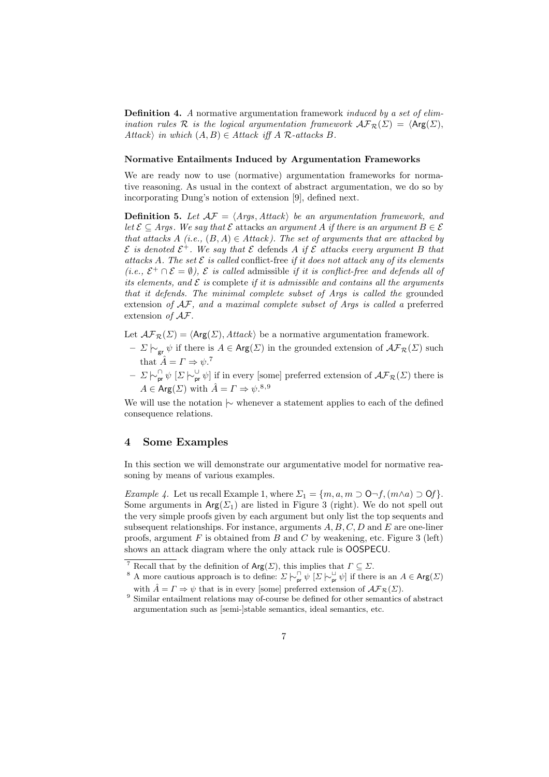**Definition 4.** A normative argumentation framework *induced by a set of elim*ination rules R is the logical argumentation framework  $\mathcal{AF}_{\mathcal{R}}(\Sigma) = \langle \mathsf{Arg}(\Sigma),$ Attack) in which  $(A, B) \in Attack$  iff A R-attacks B.

#### Normative Entailments Induced by Argumentation Frameworks

We are ready now to use (normative) argumentation frameworks for normative reasoning. As usual in the context of abstract argumentation, we do so by incorporating Dung's notion of extension [9], defined next.

**Definition 5.** Let  $AF = \langle Args, Attack \rangle$  be an argumentation framework, and let  $\mathcal{E} \subseteq \text{Arg}$ . We say that  $\mathcal{E}$  attacks an argument A if there is an argument  $B \in \mathcal{E}$ that attacks A (i.e.,  $(B, A) \in Attack$ ). The set of arguments that are attacked by  $\mathcal E$  is denoted  $\mathcal E^+$ . We say that  $\mathcal E$  defends A if  $\mathcal E$  attacks every argument B that attacks A. The set  $\mathcal E$  is called conflict-free if it does not attack any of its elements (*i.e.*,  $\mathcal{E}^+ \cap \mathcal{E} = \emptyset$ ),  $\mathcal{E}$  is called admissible if it is conflict-free and defends all of its elements, and  $\mathcal E$  is complete if it is admissible and contains all the arguments that it defends. The minimal complete subset of Args is called the grounded extension of AF, and a maximal complete subset of Args is called a preferred extension of  $A\mathcal{F}$ .

Let  $\mathcal{AF}_{\mathcal{R}}(\Sigma) = \langle \mathsf{Arg}(\Sigma), \mathit{Attack} \rangle$  be a normative argumentation framework.

- $Σ \vdash_{\sigma r} \psi$  if there is  $A \in \text{Arg}(\Sigma)$  in the grounded extension of  $\mathcal{AF}_{\mathcal{R}}(\Sigma)$  such that  $\hat{A} = \Gamma \Rightarrow \psi$ .<sup>7</sup>
- $-\sum |\sim_{\text{pr}}^{\cap} \psi \rangle \left[\sum |\sim_{\text{pr}}^{\cup} \psi \right]$  if in every [some] preferred extension of  $\mathcal{AF}_{\mathcal{R}}(\Sigma)$  there is  $A \in \mathsf{Arg}(\Sigma)$  with  $\hat{A} = \Gamma \Rightarrow \psi$ .<sup>8,9</sup>

We will use the notation |∼ whenever a statement applies to each of the defined consequence relations.

# 4 Some Examples

In this section we will demonstrate our argumentative model for normative reasoning by means of various examples.

Example 4. Let us recall Example 1, where  $\Sigma_1 = \{m, a, m \supset \mathsf{O}\neg f, (m \wedge a) \supset \mathsf{O}f\}.$ Some arguments in  $Arg(\Sigma_1)$  are listed in Figure 3 (right). We do not spell out the very simple proofs given by each argument but only list the top sequents and subsequent relationships. For instance, arguments  $A, B, C, D$  and E are one-liner proofs, argument  $F$  is obtained from  $B$  and  $C$  by weakening, etc. Figure 3 (left) shows an attack diagram where the only attack rule is OOSPECU.

<sup>&</sup>lt;sup>7</sup> Recall that by the definition of  $Arg(\Sigma)$ , this implies that  $\Gamma \subseteq \Sigma$ .

<sup>&</sup>lt;sup>8</sup> A more cautious approach is to define:  $\Sigma \vdash_{\mathsf{pr}}^{\square} \psi$  [ $\Sigma \vdash_{\mathsf{pr}}^{\square} \psi$ ] if there is an  $A \in \mathsf{Arg}(\Sigma)$ with  $\hat{A} = \Gamma \Rightarrow \psi$  that is in every [some] preferred extension of  $\mathcal{AF}_{\mathcal{R}}(\Sigma)$ .

 $9$  Similar entailment relations may of-course be defined for other semantics of abstract argumentation such as [semi-]stable semantics, ideal semantics, etc.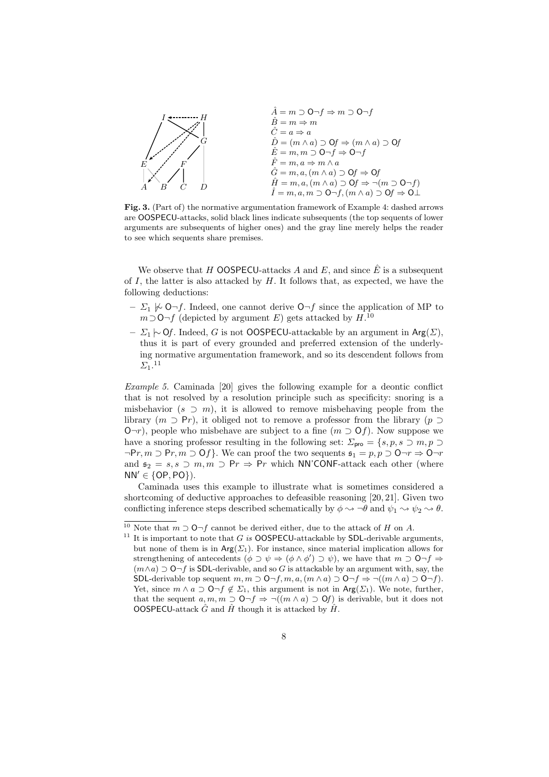

Fig. 3. (Part of) the normative argumentation framework of Example 4: dashed arrows are OOSPECU-attacks, solid black lines indicate subsequents (the top sequents of lower arguments are subsequents of higher ones) and the gray line merely helps the reader to see which sequents share premises.

We observe that H OOSPECU-attacks A and E, and since  $\hat{E}$  is a subsequent of I, the latter is also attacked by  $H$ . It follows that, as expected, we have the following deductions:

- $\Sigma_1 \not\sim \mathsf{O}\neg f$ . Indeed, one cannot derive  $\mathsf{O}\neg f$  since the application of MP to  $m$  ⊃O¬f (depicted by argument E) gets attacked by  $H$ <sup>10</sup>
- $\Sigma_1 \leftarrow$  Of. Indeed, G is not OOSPECU-attackable by an argument in Arg( $\Sigma$ ), thus it is part of every grounded and preferred extension of the underlying normative argumentation framework, and so its descendent follows from  $\Sigma_1$ .<sup>11</sup>

Example 5. Caminada [20] gives the following example for a deontic conflict that is not resolved by a resolution principle such as specificity: snoring is a misbehavior  $(s \supset m)$ , it is allowed to remove misbehaving people from the library  $(m \supset P_r)$ , it obliged not to remove a professor from the library  $(p \supset P_r)$  $\mathcal{O}\neg r$ ), people who misbehave are subject to a fine  $(m \supset \mathcal{O}f)$ . Now suppose we have a snoring professor resulting in the following set:  $\Sigma_{\text{pro}} = \{s, p, s \supset m, p \supset m\}$  $\neg Pr, m \supset Pr, m \supset Of$ . We can proof the two sequents  $\mathfrak{s}_1 = p, p \supset O \neg r \Rightarrow O \neg r$ and  $\mathfrak{s}_2 = s, s \supset m, m \supset Pr \Rightarrow Pr$  which NN'CONF-attack each other (where  $NN' \in \{OP, PO\}$ ).

Caminada uses this example to illustrate what is sometimes considered a shortcoming of deductive approaches to defeasible reasoning [20, 21]. Given two conflicting inference steps described schematically by  $\phi \rightarrow \neg \theta$  and  $\psi_1 \rightarrow \psi_2 \rightarrow \theta$ .

<sup>&</sup>lt;sup>10</sup> Note that  $m$  ⊃ O¬f cannot be derived either, due to the attack of H on A.

<sup>&</sup>lt;sup>11</sup> It is important to note that  $G$  is **OOSPECU**-attackable by **SDL**-derivable arguments, but none of them is in  $Arg(\Sigma_1)$ . For instance, since material implication allows for strengthening of antecedents  $(\phi \supset \psi \Rightarrow (\phi \wedge \phi') \supset \psi)$ , we have that  $m \supset \mathbf{0} \neg f \Rightarrow$  $(m\wedge a)\supset$  O¬f is SDL-derivable, and so G is attackable by an argument with, say, the SDL-derivable top sequent  $m, m \supset O \neg f, m, a, (m \wedge a) \supset O \neg f \Rightarrow \neg ((m \wedge a) \supset O \neg f)$ . Yet, since  $m \wedge a \supset \mathsf{O}\neg f \notin \Sigma_1$ , this argument is not in  $\mathsf{Arg}(\Sigma_1)$ . We note, further, that the sequent  $a, m, m \supset \mathsf{O}\neg f \Rightarrow \neg((m \land a) \supset \mathsf{O}f)$  is derivable, but it does not OOSPECU-attack  $\hat{G}$  and  $\hat{H}$  though it is attacked by  $\hat{H}$ .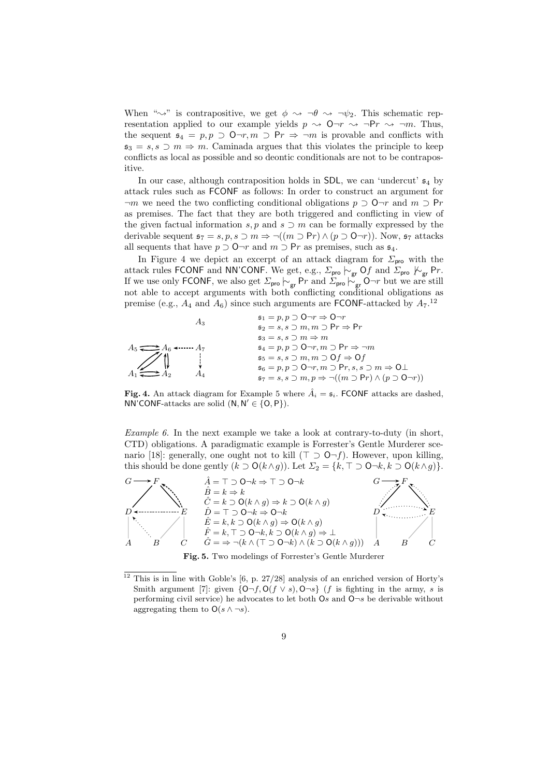When " $\rightsquigarrow$ " is contrapositive, we get  $\phi \rightsquigarrow \neg \theta \rightsquigarrow \neg \psi_2$ . This schematic representation applied to our example yields  $p \sim 0 \rightarrow r \sim \neg Pr \sim \neg m$ . Thus, the sequent  $\mathfrak{s}_4 = p, p \supset \mathsf{O}\neg r, m \supset \mathsf{P}r \Rightarrow \neg m$  is provable and conflicts with  $\mathfrak{s}_3 = s, s \supset m \Rightarrow m$ . Caminada argues that this violates the principle to keep conflicts as local as possible and so deontic conditionals are not to be contrapositive.

In our case, although contraposition holds in SDL, we can 'undercut'  $\mathfrak{s}_4$  by attack rules such as FCONF as follows: In order to construct an argument for  $\neg m$  we need the two conflicting conditional obligations  $p \supset \mathsf{O}\neg r$  and  $m \supset \mathsf{Pr}$ as premises. The fact that they are both triggered and conflicting in view of the given factual information s, p and s  $\supset$  m can be formally expressed by the derivable sequent  $\mathfrak{s}_7 = s, p, s \supset m \Rightarrow \neg((m \supset \mathsf{Pr}) \wedge (p \supset \mathsf{O}\neg r))$ . Now,  $\mathfrak{s}_7$  attacks all sequents that have  $p \supset \mathsf{O}\neg r$  and  $m \supset \mathsf{Pr}$  as premises, such as  $\mathfrak{s}_4$ .

In Figure 4 we depict an excerpt of an attack diagram for  $\Sigma_{\text{pro}}$  with the attack rules FCONF and NN'CONF. We get, e.g.,  $\Sigma_{\sf pro} \vdash_{\sf gr} \sf Of$  and  $\Sigma_{\sf pro} \not\vdash_{\sf gr} \sf Pr.$ If we use only FCONF, we also get  $\Sigma_{\text{pro}} \stackrel{\sim}{\sim}_{\text{gr}} P r$  and  $\Sigma_{\text{pro}} \stackrel{\sim}{\sim}_{\text{gr}} O \neg r$  but we are still not able to accept arguments with both conflicting conditional obligations as premise (e.g.,  $A_4$  and  $A_6$ ) since such arguments are **FCONF**-attacked by  $A_7$ .<sup>12</sup>

$$
A_3 \qquad \qquad \begin{array}{rcl}\n & \mathfrak{s}_1 & = p, p \supset \mathsf{O} \neg r \Rightarrow \mathsf{O} \neg r \\
 & \mathfrak{s}_2 & = s, s \supset m, m \supset \mathsf{Pr} \Rightarrow \mathsf{Pr} \\
 & \mathfrak{s}_3 & = s, s \supset m \Rightarrow m \\
 & \mathfrak{s}_4 & = p, p \supset \mathsf{O} \neg r, m \supset \mathsf{Pr} \Rightarrow \neg m \\
 & \mathfrak{s}_5 & = s, s \supset m, m \supset \mathsf{O} f \Rightarrow \mathsf{O} f \\
 & \mathfrak{s}_6 & = p, p \supset \mathsf{O} \neg r, m \supset \mathsf{Pr}, s, s \supset m \Rightarrow \mathsf{O} \perp \\
 & \mathfrak{s}_7 & = s, s \supset m, p \Rightarrow \neg((m \supset \mathsf{Pr}) \land (p \supset \mathsf{O} \neg r))\n\end{array}
$$

**Fig. 4.** An attack diagram for Example 5 where  $\hat{A}_i = \mathfrak{s}_i$ . FCONF attacks are dashed, NN'CONF-attacks are solid  $(N, N' \in \{O, P\})$ .

*Example 6.* In the next example we take a look at contrary-to-duty (in short, CTD) obligations. A paradigmatic example is Forrester's Gentle Murderer scenario [18]: generally, one ought not to kill ( $\top \supset \mathsf{O}\neg f$ ). However, upon killing, this should be done gently  $(k \supset O(k \wedge g))$ . Let  $\Sigma_2 = \{k, \top \supset O \neg k, k \supset O(k \wedge g)\}.$ 



Fig. 5. Two modelings of Forrester's Gentle Murderer

<sup>&</sup>lt;sup>12</sup> This is in line with Goble's [6, p. 27/28] analysis of an enriched version of Horty's Smith argument [7]: given  $\{O\neg f, O(f \lor s), O\neg s\}$  (f is fighting in the army, s is performing civil service) he advocates to let both  $\mathsf{O}s$  and  $\mathsf{O}\neg s$  be derivable without aggregating them to  $O(s \wedge \neg s)$ .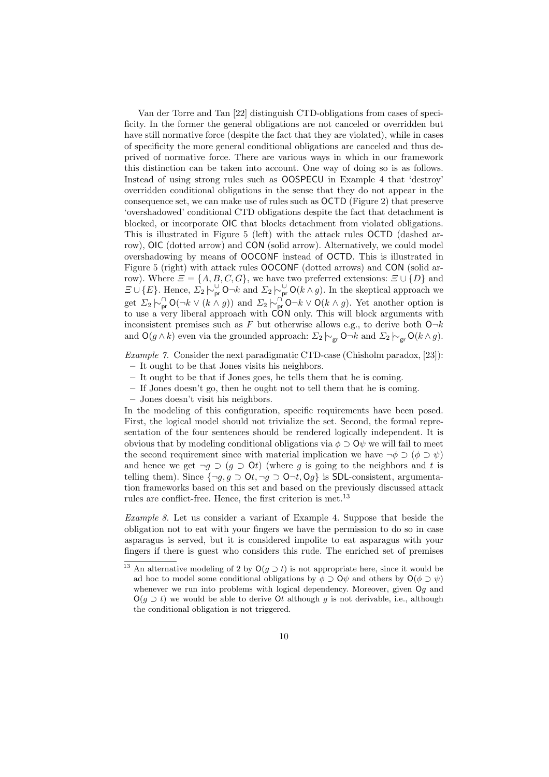Van der Torre and Tan [22] distinguish CTD-obligations from cases of specificity. In the former the general obligations are not canceled or overridden but have still normative force (despite the fact that they are violated), while in cases of specificity the more general conditional obligations are canceled and thus deprived of normative force. There are various ways in which in our framework this distinction can be taken into account. One way of doing so is as follows. Instead of using strong rules such as OOSPECU in Example 4 that 'destroy' overridden conditional obligations in the sense that they do not appear in the consequence set, we can make use of rules such as OCTD (Figure 2) that preserve 'overshadowed' conditional CTD obligations despite the fact that detachment is blocked, or incorporate OIC that blocks detachment from violated obligations. This is illustrated in Figure 5 (left) with the attack rules OCTD (dashed arrow), OIC (dotted arrow) and CON (solid arrow). Alternatively, we could model overshadowing by means of OOCONF instead of OCTD. This is illustrated in Figure 5 (right) with attack rules OOCONF (dotted arrows) and CON (solid arrow). Where  $\mathcal{Z} = \{A, B, C, G\}$ , we have two preferred extensions:  $\mathcal{Z} \cup \{D\}$  and  $\Xi \cup \{E\}$ . Hence,  $\Sigma_2 \vdash_{\mathsf{pr}}^{\cup} \mathsf{O} \neg k$  and  $\Sigma_2 \vdash_{\mathsf{pr}}^{\cup} \mathsf{O}(k \wedge g)$ . In the skeptical approach we get  $\Sigma_2 \vdash_{\textsf{pr}}^{\cap} \mathsf{O}(\neg k \vee (k \wedge g))$  and  $\Sigma_2 \vdash_{\textsf{pr}}^{\cap} \mathsf{O} \neg k \vee \mathsf{O}(k \wedge g)$ . Yet another option is to use a very liberal approach with CON only. This will block arguments with inconsistent premises such as F but otherwise allows e.g., to derive both  $O\neg k$ and  $O(g \wedge k)$  even via the grounded approach:  $\Sigma_2 \vdash_{\mathsf{gr}} \mathsf{O} \neg k$  and  $\Sigma_2 \vdash_{\mathsf{gr}} \mathsf{O}(k \wedge g)$ .

Example 7. Consider the next paradigmatic CTD-case (Chisholm paradox, [23]): – It ought to be that Jones visits his neighbors.

- It ought to be that if Jones goes, he tells them that he is coming.
- If Jones doesn't go, then he ought not to tell them that he is coming.
- Jones doesn't visit his neighbors.

In the modeling of this configuration, specific requirements have been posed. First, the logical model should not trivialize the set. Second, the formal representation of the four sentences should be rendered logically independent. It is obvious that by modeling conditional obligations via  $\phi \supset Q\psi$  we will fail to meet the second requirement since with material implication we have  $\neg \phi \supset (\phi \supset \psi)$ and hence we get  $\neg q \supset (q \supset \mathbf{O}t)$  (where q is going to the neighbors and t is telling them). Since  $\{\neg g, g \supset \mathsf{O}t, \neg g \supset \mathsf{O} \neg t, \mathsf{O} g\}$  is SDL-consistent, argumentation frameworks based on this set and based on the previously discussed attack rules are conflict-free. Hence, the first criterion is met.<sup>13</sup>

Example 8. Let us consider a variant of Example 4. Suppose that beside the obligation not to eat with your fingers we have the permission to do so in case asparagus is served, but it is considered impolite to eat asparagus with your fingers if there is guest who considers this rude. The enriched set of premises

<sup>&</sup>lt;sup>13</sup> An alternative modeling of 2 by  $O(g \supset t)$  is not appropriate here, since it would be ad hoc to model some conditional obligations by  $\phi \supset Q\psi$  and others by  $Q(\phi \supset \psi)$ whenever we run into problems with logical dependency. Moreover, given Og and  $O(g \supset t)$  we would be able to derive Ot although g is not derivable, i.e., although the conditional obligation is not triggered.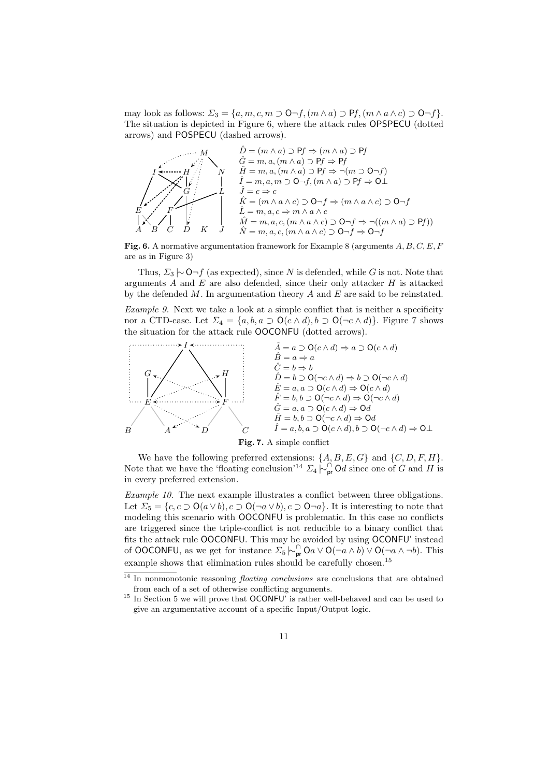may look as follows:  $\Sigma_3 = \{a, m, c, m \supset \mathsf{O}\neg f, (m \wedge a) \supset \mathsf{P}f, (m \wedge a \wedge c) \supset \mathsf{O}\neg f\}.$ The situation is depicted in Figure 6, where the attack rules OPSPECU (dotted arrows) and POSPECU (dashed arrows).

$$
\begin{array}{c}\n\begin{array}{c}\n\hat{D} = (m \land a) \supset Pf \Rightarrow (m \land a) \supset Pf \\
\hat{G} = m, a, (m \land a) \supset Pf \Rightarrow Pf \\
\hat{G} = m, a, (m \land a) \supset Pf \Rightarrow \neg(m \supset O \neg f) \\
\hat{F} = m, a, (m \land a) \supset Pf \Rightarrow \neg(m \supset O \neg f) \\
\hat{I} = m, a, m \supset O \neg f, (m \land a) \supset Pf \Rightarrow O \bot \\
\hat{I} = c \Rightarrow c \\
\hat{K} = (m \land a \land c) \supset O \neg f \Rightarrow (m \land a \land c) \supset O \neg f \\
\hat{L} = m, a, c \Rightarrow m \land a \land c \\
\downarrow \times \begin{array}{c}\n\hat{K} = (m \land a \land c) \supset O \neg f \Rightarrow \neg((m \land a) \supset Pf)\n\end{array}\n\end{array}
$$

Fig. 6. A normative argumentation framework for Example 8 (arguments  $A, B, C, E, F$ are as in Figure 3)

Thus,  $\Sigma_3 \sim \mathsf{O} \neg f$  (as expected), since N is defended, while G is not. Note that arguments  $A$  and  $E$  are also defended, since their only attacker  $H$  is attacked by the defended  $M$ . In argumentation theory  $A$  and  $E$  are said to be reinstated.

Example 9. Next we take a look at a simple conflict that is neither a specificity nor a CTD-case. Let  $\Sigma_4 = \{a, b, a \supset O(c \wedge d), b \supset O(\neg c \wedge d)\}.$  Figure 7 shows the situation for the attack rule OOCONFU (dotted arrows).





We have the following preferred extensions:  $\{A, B, E, G\}$  and  $\{C, D, F, H\}$ . Note that we have the 'floating conclusion'<sup>14</sup>  $\Sigma_4 \stackrel{\frown}{\triangleright}_{\text{pr}}^{\text{f}}$  Od since one of G and H is in every preferred extension.

Example 10. The next example illustrates a conflict between three obligations. Let  $\Sigma_5 = \{c, c \supset O(a \vee b), c \supset O(\neg a \vee b), c \supset O(\neg a) \}$ . It is interesting to note that modeling this scenario with OOCONFU is problematic. In this case no conflicts are triggered since the triple-conflict is not reducible to a binary conflict that fits the attack rule OOCONFU. This may be avoided by using OCONFU' instead of OOCONFU, as we get for instance  $\sum_{5}^{\infty} \big| \bigcirc_{\mathsf{pr}}^{\cap} O_a \vee O(\neg a \wedge b) \vee O(\neg a \wedge \neg b).$  This example shows that elimination rules should be carefully chosen.<sup>15</sup>

<sup>&</sup>lt;sup>14</sup> In nonmonotonic reasoning *floating conclusions* are conclusions that are obtained from each of a set of otherwise conflicting arguments.

 $^{15}$  In Section 5 we will prove that OCONFU' is rather well-behaved and can be used to give an argumentative account of a specific Input/Output logic.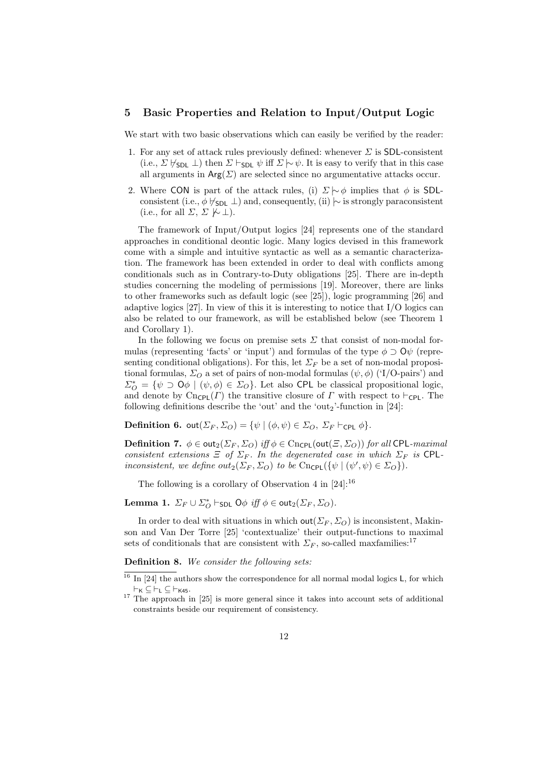## 5 Basic Properties and Relation to Input/Output Logic

We start with two basic observations which can easily be verified by the reader:

- 1. For any set of attack rules previously defined: whenever  $\Sigma$  is SDL-consistent (i.e.,  $\Sigma \not\vdash_{SDL} \bot$ ) then  $\Sigma \vdash_{SDL} \psi$  iff  $\Sigma \sim \psi$ . It is easy to verify that in this case all arguments in  $Arg(\Sigma)$  are selected since no argumentative attacks occur.
- 2. Where CON is part of the attack rules, (i)  $\Sigma \sim \phi$  implies that  $\phi$  is SDLconsistent (i.e.,  $\phi \not\vdash_{SDL} \bot$ ) and, consequently, (ii)  $\sim$  is strongly paraconsistent (i.e., for all  $\Sigma$ ,  $\Sigma \not\vdash \bot$ ).

The framework of Input/Output logics [24] represents one of the standard approaches in conditional deontic logic. Many logics devised in this framework come with a simple and intuitive syntactic as well as a semantic characterization. The framework has been extended in order to deal with conflicts among conditionals such as in Contrary-to-Duty obligations [25]. There are in-depth studies concerning the modeling of permissions [19]. Moreover, there are links to other frameworks such as default logic (see [25]), logic programming [26] and adaptive logics [27]. In view of this it is interesting to notice that I/O logics can also be related to our framework, as will be established below (see Theorem 1 and Corollary 1).

In the following we focus on premise sets  $\Sigma$  that consist of non-modal formulas (representing 'facts' or 'input') and formulas of the type  $\phi \supset Q\psi$  (representing conditional obligations). For this, let  $\Sigma_F$  be a set of non-modal propositional formulas,  $\Sigma_O$  a set of pairs of non-modal formulas  $(\psi, \phi)$  ('I/O-pairs') and  $\Sigma_{\mathcal{O}}^* = \{ \psi \supset \mathsf{O} \phi \mid (\psi, \phi) \in \Sigma_{\mathcal{O}} \}.$  Let also CPL be classical propositional logic, and denote by Cn<sub>CPL</sub>( $\Gamma$ ) the transitive closure of  $\Gamma$  with respect to ⊢<sub>CPL</sub>. The following definitions describe the 'out' and the 'out<sub>2</sub>'-function in  $[24]$ :

**Definition 6.** out $(\Sigma_F, \Sigma_O) = \{ \psi \mid (\phi, \psi) \in \Sigma_O, \ \Sigma_F \vdash_{\text{CPL}} \phi \}.$ 

**Definition 7.**  $\phi \in \text{out}_2(\Sigma_F, \Sigma_O)$  iff  $\phi \in \text{Cncpl}(\text{out}(\Xi, \Sigma_O))$  for all CPL-maximal consistent extensions  $\Xi$  of  $\Sigma_F$ . In the degenerated case in which  $\Sigma_F$  is CPLinconsistent, we define  $out_2(\Sigma_F, \Sigma_O)$  to be  $\text{Cncpl}(\{\psi \mid (\psi', \psi) \in \Sigma_O\}).$ 

The following is a corollary of Observation 4 in  $[24]$ :<sup>16</sup>

**Lemma 1.**  $\Sigma_F \cup \Sigma_O^*$   $\vdash_{\mathsf{SDL}} \mathsf{O}\phi$  *iff*  $\phi \in \mathsf{out}_2(\Sigma_F, \Sigma_O)$ .

In order to deal with situations in which  $\textsf{out}(\Sigma_F, \Sigma_O)$  is inconsistent, Makinson and Van Der Torre [25] 'contextualize' their output-functions to maximal sets of conditionals that are consistent with  $\Sigma_F$ , so-called maxfamilies:<sup>17</sup>

Definition 8. We consider the following sets.

 $16$  In [24] the authors show the correspondence for all normal modal logics L, for which  $\vdash_{\mathsf{K}} \subseteq \vdash_{\mathsf{L}} \subseteq \vdash_{\mathsf{K45}}.$ 

<sup>&</sup>lt;sup>17</sup> The approach in [25] is more general since it takes into account sets of additional constraints beside our requirement of consistency.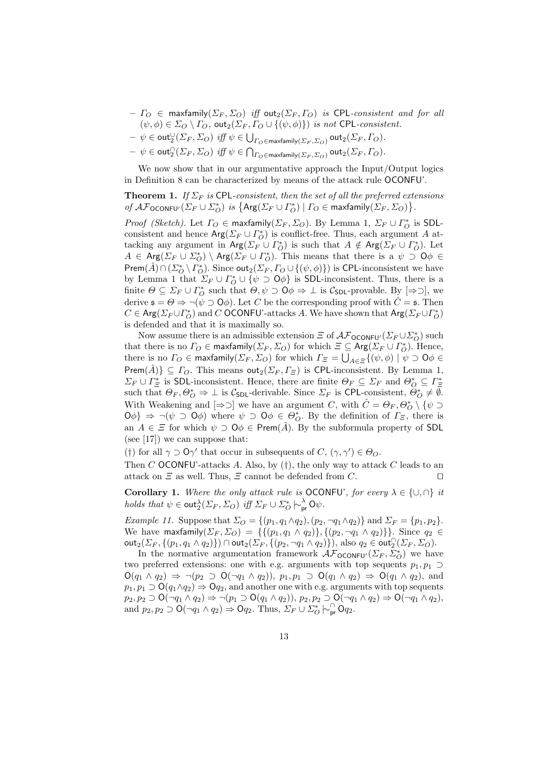- $-I_O \in$  maxfamily( $\Sigma_F$ ,  $\Sigma_O$ ) iff out<sub>2</sub>( $\Sigma_F$ ,  $I_O$ ) is CPL-consistent and for all  $(\psi, \phi) \in \Sigma_O \setminus \Gamma_O$ , out<sub>2</sub>( $\Sigma_F$ ,  $\Gamma_O \cup \{(\psi, \phi)\}\$  is not CPL-consistent.
- $-\psi \in \textsf{out}_{2}^{\cup}(\Sigma_{F}, \Sigma_{O}) \textit{ iff } \psi \in \bigcup_{\Gamma_{O} \in \textsf{maxfamily}(\Sigma_{F}, \Sigma_{O})} \textsf{out}_{2}(\Sigma_{F}, \Gamma_{O}).$
- $\psi \in \textsf{out}_2^{\cap}(\varSigma_F, \varSigma_O) \textit{ iff } \psi \in \bigcap_{\varGamma_O \in \textsf{maxfamily}(\varSigma_F, \varSigma_O)} \textsf{out}_2(\varSigma_F, \varGamma_O).$

We now show that in our argumentative approach the Input/Output logics in Definition 8 can be characterized by means of the attack rule OCONFU'.

**Theorem 1.** If  $\Sigma_F$  is CPL-consistent, then the set of all the preferred extensions of  $\mathcal{AF}_{\text{OCONFU}'}(\Sigma_F \cup \Sigma_O^*)$  is  $\{ \text{Arg}(\Sigma_F \cup \Gamma_O^*) \mid \Gamma_O \in \text{maxfamily}(\Sigma_F, \Sigma_O) \}.$ 

*Proof (Sketch)*. Let  $\Gamma_O \in \text{maxfamily}(\Sigma_F, \Sigma_O)$ . By Lemma 1,  $\Sigma_F \cup \Gamma_O^*$  is SDLconsistent and hence  $\text{Arg}(\Sigma_F \cup \Gamma_O^*)$  is conflict-free. Thus, each argument A attacking any argument in  $\textsf{Arg}(\Sigma_F \cup \Gamma_O^*)$  is such that  $A \notin \textsf{Arg}(\Sigma_F \cup \Gamma_O^*)$ . Let  $A \in \text{Arg}(\Sigma_F \cup \Sigma_O^*) \setminus \text{Arg}(\Sigma_F \cup \Gamma_O^*)$ . This means that there is a  $\psi \supset \mathsf{O}\phi \in \mathsf{O}\phi$ Prem( $\hat{A}$ )∩( $\Sigma_{O}^{*} \setminus \Gamma_{O}^{*}$ ). Since out<sub>2</sub>( $\Sigma_{F}$ ,  $\Gamma_{O} \cup \{(\psi, \phi)\}\$ ) is CPL-inconsistent we have by Lemma 1 that  $\Sigma_F \cup \Gamma_O^* \cup \{\psi \supset \mathsf{O}\phi\}$  is SDL-inconsistent. Thus, there is a finite  $\Theta \subseteq \Sigma_F \cup \Gamma^*_O$  such that  $\Theta, \psi \supset \Theta \neq \bot$  is  $\mathcal{C}_{\mathsf{SDL}}$ -provable. By  $[\Rightarrow \supset]$ , we derive  $\mathfrak{s} = \Theta \Rightarrow \neg(\psi \supset \mathsf{O}\phi)$ . Let C be the corresponding proof with  $\hat{C} = \mathfrak{s}$ . Then  $C \in \text{Arg}(\Sigma_F \cup \Gamma_O^*)$  and C OCONFU'-attacks A. We have shown that  $\text{Arg}(\Sigma_F \cup \Gamma_O^*)$ is defended and that it is maximally so.

Now assume there is an admissible extension  $\mathcal E$  of  $\mathcal{AF}_{\mathsf{OCONFU'}}(\Sigma_F \cup \Sigma_O^*)$  such that there is no  $\Gamma_O \in \text{maxfamily}(\Sigma_F, \Sigma_O)$  for which  $\Xi \subseteq \text{Arg}(\Sigma_F \cup \Gamma_O^*)$ . Hence, there is no  $\varGamma_O \in \mathsf{maxfamily}(\varSigma_F, \varSigma_O)$  for which  $\varGamma_{\varXi} = \bigcup_{A \in \varXi} \{(\psi, \phi) \mid \psi \supset \mathsf{O} \phi \in \varGamma_{\varXi} \}$ Prem $(\hat{A})\}\subseteq \Gamma$ <sub>O</sub>. This means out<sub>2</sub>( $\Sigma_F, \Gamma_{\Xi}$ ) is CPL-inconsistent. By Lemma 1,  $\Sigma_F \cup \Gamma^*_{\Xi}$  is SDL-inconsistent. Hence, there are finite  $\Theta_F \subseteq \Sigma_F$  and  $\Theta^*_{\mathcal{O}} \subseteq \Gamma^*_{\Xi}$ such that  $\Theta_F, \Theta_O^* \Rightarrow \bot$  is  $\mathcal{C}_{\mathsf{SDL}}$ -derivable. Since  $\Sigma_F$  is CPL-consistent,  $\Theta_O^* \neq \emptyset$ . With Weakening and  $[\Rightarrow \supset]$  we have an argument C, with  $\hat{C} = \Theta_F, \Theta^*_{\mathcal{O}} \setminus \{\psi \supset \Theta\}$  $\{\Theta \phi\} \Rightarrow \neg(\psi \supset \Theta \phi)$  where  $\psi \supset \Theta \phi \in \Theta_o^*$ . By the definition of  $\Gamma_{\Xi}$ , there is an  $A \in \mathcal{Z}$  for which  $\psi \supset \mathsf{O}\phi \in \mathsf{Prem}(\hat{A})$ . By the subformula property of SDL (see [17]) we can suppose that:

(†) for all  $\gamma \supset \mathsf{O}\gamma'$  that occur in subsequents of  $C, (\gamma, \gamma') \in \Theta_O$ .

Then C OCONFU'-attacks A. Also, by  $(\dagger)$ , the only way to attack C leads to an attack on  $\Xi$  as well. Thus,  $\Xi$  cannot be defended from C. □

**Corollary 1.** Where the only attack rule is **OCONFU'**, for every  $\lambda \in \{\cup, \cap\}$  it holds that  $\psi \in \text{out}_2^{\lambda}(\Sigma_F, \Sigma_O)$  iff  $\Sigma_F \cup \Sigma_O^* \left\vert \sim_{\text{pr}}^{\lambda} \text{O}\psi\right\vert$ .

Example 11. Suppose that  $\Sigma_O = \{(p_1, q_1 \wedge q_2), (p_2, \neg q_1 \wedge q_2)\}\$  and  $\Sigma_F = \{p_1, p_2\}.$ We have maxfamily( $\Sigma_F$ ,  $\Sigma_O$ ) = {{(p<sub>1</sub>, q<sub>1</sub>  $\wedge$  q<sub>2</sub>)}, {(p<sub>2</sub>,  $\neg$ q<sub>1</sub>  $\wedge$  q<sub>2</sub>)}}. Since q<sub>2</sub>  $\in$  $\mathsf{out}_2(\Sigma_F, \{(p_1, q_1 \wedge q_2)\}) \cap \mathsf{out}_2(\Sigma_F, \{(p_2, \neg q_1 \wedge q_2)\}), \text{ also } q_2 \in \mathsf{out}_2^{\cap}(\Sigma_F, \Sigma_O).$ 

In the normative argumentation framework  $\mathcal{AF}_{\text{OCONFU}'}(\Sigma_F, \Sigma_O^*)$  we have two preferred extensions: one with e.g. arguments with top sequents  $p_1, p_1 \supset$  $O(q_1 \wedge q_2) \Rightarrow \neg(p_2 \supset O(\neg q_1 \wedge q_2)), p_1, p_1 \supset O(q_1 \wedge q_2) \Rightarrow O(q_1 \wedge q_2),$  and  $p_1, p_1 \supset O(q_1 \wedge q_2) \Rightarrow Oq_2$ , and another one with e.g. arguments with top sequents  $p_2, p_2 \supset O(\neg q_1 \land q_2) \Rightarrow \neg (p_1 \supset O(q_1 \land q_2)), p_2, p_2 \supset O(\neg q_1 \land q_2) \Rightarrow O(\neg q_1 \land q_2),$ and  $p_2, p_2 \supset O(\neg q_1 \land q_2) \Rightarrow Oq_2$ . Thus,  $\Sigma_F \cup \Sigma_O^* \sim_p^O Q_2$ .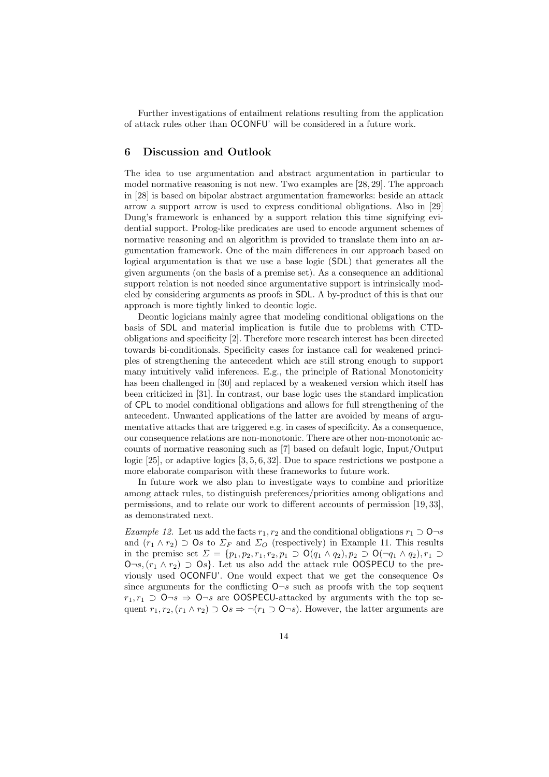Further investigations of entailment relations resulting from the application of attack rules other than OCONFU' will be considered in a future work.

# 6 Discussion and Outlook

The idea to use argumentation and abstract argumentation in particular to model normative reasoning is not new. Two examples are [28, 29]. The approach in [28] is based on bipolar abstract argumentation frameworks: beside an attack arrow a support arrow is used to express conditional obligations. Also in [29] Dung's framework is enhanced by a support relation this time signifying evidential support. Prolog-like predicates are used to encode argument schemes of normative reasoning and an algorithm is provided to translate them into an argumentation framework. One of the main differences in our approach based on logical argumentation is that we use a base logic (SDL) that generates all the given arguments (on the basis of a premise set). As a consequence an additional support relation is not needed since argumentative support is intrinsically modeled by considering arguments as proofs in SDL. A by-product of this is that our approach is more tightly linked to deontic logic.

Deontic logicians mainly agree that modeling conditional obligations on the basis of SDL and material implication is futile due to problems with CTDobligations and specificity [2]. Therefore more research interest has been directed towards bi-conditionals. Specificity cases for instance call for weakened principles of strengthening the antecedent which are still strong enough to support many intuitively valid inferences. E.g., the principle of Rational Monotonicity has been challenged in [30] and replaced by a weakened version which itself has been criticized in [31]. In contrast, our base logic uses the standard implication of CPL to model conditional obligations and allows for full strengthening of the antecedent. Unwanted applications of the latter are avoided by means of argumentative attacks that are triggered e.g. in cases of specificity. As a consequence, our consequence relations are non-monotonic. There are other non-monotonic accounts of normative reasoning such as [7] based on default logic, Input/Output logic [25], or adaptive logics [3, 5, 6, 32]. Due to space restrictions we postpone a more elaborate comparison with these frameworks to future work.

In future work we also plan to investigate ways to combine and prioritize among attack rules, to distinguish preferences/priorities among obligations and permissions, and to relate our work to different accounts of permission [19, 33], as demonstrated next.

Example 12. Let us add the facts  $r_1, r_2$  and the conditional obligations  $r_1 \supset \mathsf{O} \neg s$ and  $(r_1 \wedge r_2) \supset \mathbf{0}_s$  to  $\Sigma_F$  and  $\Sigma_O$  (respectively) in Example 11. This results in the premise set  $\Sigma = \{p_1, p_2, r_1, r_2, p_1 \supset O(q_1 \wedge q_2), p_2 \supset O(\neg q_1 \wedge q_2), r_1 \supset$ O¬s,  $(r_1 \wedge r_2)$  ⊃ Os}. Let us also add the attack rule OOSPECU to the previously used OCONFU'. One would expect that we get the consequence  $\mathsf{O}s$ since arguments for the conflicting  $\mathsf{O}\neg s$  such as proofs with the top sequent  $r_1, r_1 \supset \mathsf{O}\neg s \Rightarrow \mathsf{O}\neg s$  are OOSPECU-attacked by arguments with the top sequent  $r_1, r_2, (r_1 \wedge r_2) \supset \mathbf{0}$   $\Rightarrow \neg(r_1 \supset \mathbf{0} \neg s)$ . However, the latter arguments are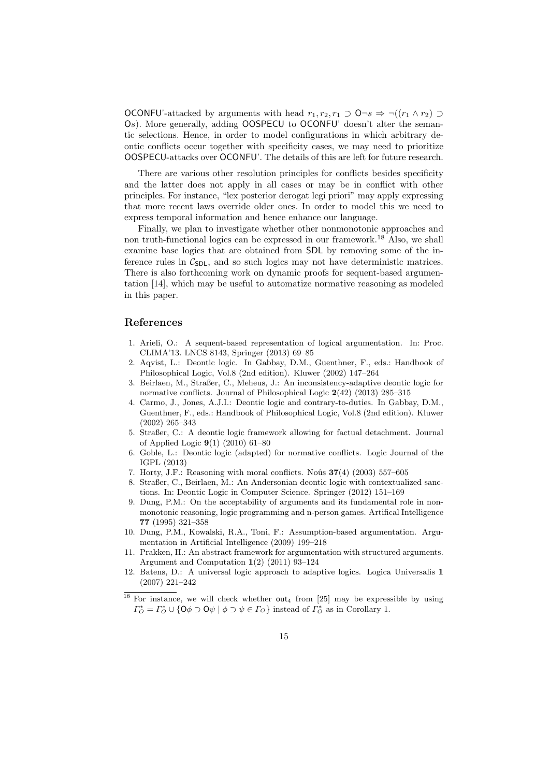OCONFU'-attacked by arguments with head  $r_1, r_2, r_1$  ⊃ O¬s  $\Rightarrow \neg((r_1 \land r_2) \supset$ Os). More generally, adding OOSPECU to OCONFU' doesn't alter the semantic selections. Hence, in order to model configurations in which arbitrary deontic conflicts occur together with specificity cases, we may need to prioritize OOSPECU-attacks over OCONFU'. The details of this are left for future research.

There are various other resolution principles for conflicts besides specificity and the latter does not apply in all cases or may be in conflict with other principles. For instance, "lex posterior derogat legi priori" may apply expressing that more recent laws override older ones. In order to model this we need to express temporal information and hence enhance our language.

Finally, we plan to investigate whether other nonmonotonic approaches and non truth-functional logics can be expressed in our framework.<sup>18</sup> Also, we shall examine base logics that are obtained from SDL by removing some of the inference rules in  $C_{SDL}$ , and so such logics may not have deterministic matrices. There is also forthcoming work on dynamic proofs for sequent-based argumentation [14], which may be useful to automatize normative reasoning as modeled in this paper.

## References

- 1. Arieli, O.: A sequent-based representation of logical argumentation. In: Proc. CLIMA'13. LNCS 8143, Springer (2013) 69–85
- 2. Aqvist, L.: Deontic logic. In Gabbay, D.M., Guenthner, F., eds.: Handbook of Philosophical Logic, Vol.8 (2nd edition). Kluwer (2002) 147–264
- 3. Beirlaen, M., Straßer, C., Meheus, J.: An inconsistency-adaptive deontic logic for normative conflicts. Journal of Philosophical Logic  $2(42)$   $(2013)$   $285-315$
- 4. Carmo, J., Jones, A.J.I.: Deontic logic and contrary-to-duties. In Gabbay, D.M., Guenthner, F., eds.: Handbook of Philosophical Logic, Vol.8 (2nd edition). Kluwer (2002) 265–343
- 5. Straßer, C.: A deontic logic framework allowing for factual detachment. Journal of Applied Logic 9(1) (2010) 61–80
- 6. Goble, L.: Deontic logic (adapted) for normative conflicts. Logic Journal of the IGPL (2013)
- 7. Horty, J.F.: Reasoning with moral conflicts. Noûs  $37(4)$  (2003) 557–605
- 8. Straßer, C., Beirlaen, M.: An Andersonian deontic logic with contextualized sanctions. In: Deontic Logic in Computer Science. Springer (2012) 151–169
- 9. Dung, P.M.: On the acceptability of arguments and its fundamental role in nonmonotonic reasoning, logic programming and n-person games. Artifical Intelligence 77 (1995) 321–358
- 10. Dung, P.M., Kowalski, R.A., Toni, F.: Assumption-based argumentation. Argumentation in Artificial Intelligence (2009) 199–218
- 11. Prakken, H.: An abstract framework for argumentation with structured arguments. Argument and Computation 1(2) (2011) 93–124
- 12. Batens, D.: A universal logic approach to adaptive logics. Logica Universalis 1 (2007) 221–242
- $18$  For instance, we will check whether out<sub>4</sub> from [25] may be expressible by using  $\Gamma_{\mathcal{O}}^{\star} = \Gamma_{\mathcal{O}}^* \cup \{ \mathsf{O}\phi \supset \mathsf{O}\psi \mid \phi \supset \psi \in \Gamma_{\mathcal{O}} \}$  instead of  $\Gamma_{\mathcal{O}}^*$  as in Corollary 1.